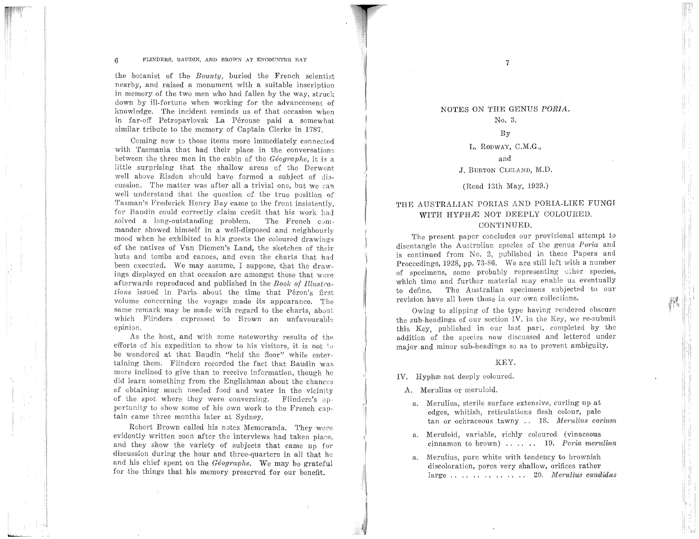#### 6 FLINDERS, BAUDIN, AND BROWN AT ENCOUNTER BAY

the botanist of the *Bounty,* buried the French scientist nearby, and raised a monument with a suitable inscription in memory of the two men who had fallen by the way, struck down by ill-fortune when working for the advancement of knowledge. The incident reminds us of that occasion when in far-off Petropavlovsk La Perouse paid a somewhat similar tribute to the memory of Captain Clerke in 1787.

Coming now to those items more immediately connected with Tasmania that had their place in the conversations between the three men in the cabin of the *Geographe,* it is a little surprising that the shallow areas of the Derwent well above Risdon should have formed a subject of discussion. The matter was after all a trivial one, but we can well understand that the question of the true position of Tasman's Frederick Henry Bay came to the front insistently. for Baudin could correctly daim credit that his work had solved a long-outstanding problem. The French commander showed himself in a well-disposed and neighbourly mood when he exhibited to his guests the coloured drawings ·of the natives of Van Diemen's Land, the sketches of their huts and tombs and canoes, and even the charts that had been executed. We may assume, I suppose, that the drawings displayed on that occasion are amongst those that were afterwards reproduced and published in the *Book of Illustrations* issued in Paris about the time that Péron's first volume concerning the voyage made its appearance. The same remark may be made with regard to the charts, about which Flinders expressed to Brown an unfavourable opinion.

As the host, and with some noteworthy results of the efforts of his expedition to show to his visitors, it is not to be wondered at that Baudin "held the floor" while entertaining them. Flinders recorded the fact that Baudin was more inclined to give than to receive information, though he did learn something from the Englishman about the chances of obtaining much needed food and water in the vicinity of the spot where they were conversing. Flinders's opportunity to show some of his own work to the French captain came three months later at Sydney.

Robert Brown called his notes Memoranda. They were evidently written soon after the interviews had taken place, and they show the variety of subjects that came up for discussion during the hour and three-quarters in all that he and his chief spent on the *Géographe*. We may be grateful for the things that his memory preserved for our benefit.

# N01'ES ON THE GENUS *PORIA.*  No. 3.

7

−3

I

I I

 $\frac{1}{2}$ } I

i

# By

#### L. RODWAY, C.M.G.,

# and J. BURTON CLELAND, M.D.

# (Read 13th May, 1929.)

# THE AUSTRALIAN PORIAS AND PORIA-LIKE FUNGI WITH HYPHÆ NOT DEEPLY COLOURED. CONTINUED.

The present paper concludes our provisional attempt to disentangle the Australian species of the genus Poria and is continued from No. 2, published in these Papers and Proceedings, 1928, pp. 73-86. We are still left with a number of specimens, some probably representing other species, which time and further material may enable us eventually to define. The Australian specimens subjected to our revision have all been those in our own collections.

Owing to slipping of the type having rendered obscure the sub-headings of our section IV. in the Key, we re-submit this Key, published in our last part, completed by the addition of the species now discussed and lettered under major and minor sub-headings so as to prevent ambiguity.

## KEY.

IV. Hyphænot deeply coloured.

A. Merulius or merulaid.

- a, Merulius, sterile surface extensive, curling up at edges, whitish, reticulations flesh colour, pale tan or ochraceous tawny . . 18. *Merulius corium*
- a. Meruloid, variable, richly coloured (vinaceous cinnamon to brown) . . . . . . 19. *Poria merulina*
- a. Merulius, pure white with tendency to brownish discoloration, pores very shallow, orifices rather large . . . . . . . . . . . . . . 20. *Mer'Ulius cand·idus*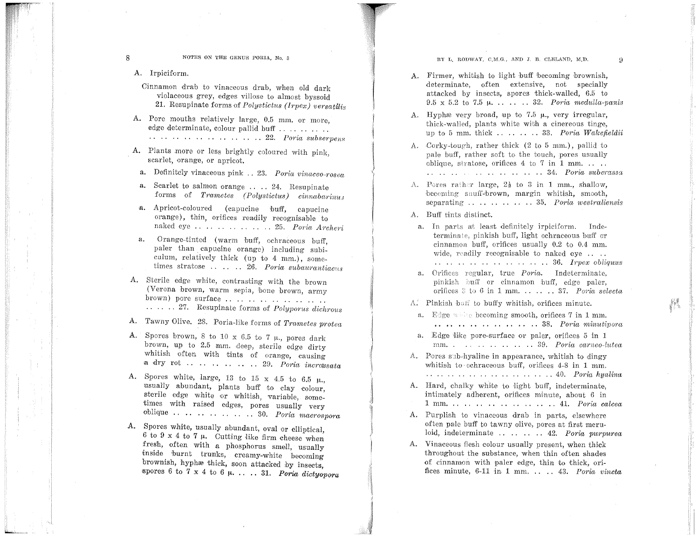8 NOTES ON THE GENUS PORIA, No. 3

A. Irpiciform.

- Cinnamon drab to vinaceous drab, when old dark violaceous grey, edges villose to almost byssoid 21. Resupinate forms of *Polystictus (lrpex) versatilis*
- A. Pore mouths relatively large, 0.5 mm. or more, edge determinate, colour pallid buff ......... .. . . . . . . . . . . . . . . 22. Poria subserpens
- A. Plants more or less brightly coloured with pink, scarlet, orange, or apricot.
	- a. Definitely vinaceous pink .. 23. *Poria vinaceo-rosea*
	- a. Scarlet to salmon orange .... 24. Resupinate forms of *Trametes (Polystictus) cinnabarinus*
- a. Apricot-coloured (capucine buff, capucine orange), thin, orifices readily recognisable to naked eye . . . . . . . . . . 25. *Poria Archeri*
- a. Orange-tinted (warm buff, ochraceous buff, paler than capucine orange) including subiculum, relatively thick (up to 4 mm.), sometimes stratose .. .. . 26. Poria subaurantiacus
- A. Sterile edge white, contrasting with the brown (Verona brown, warm sepia, bone brown, army brown) pore surface .................... ...... 27. Resupinate forms of *Polyporus dichrous*
- A. Tawny Olive. 28. Poria-like forms of *Trametes protea*
- A. Spores brown, 8 to 10 x 6.5 to 7  $\mu$ , pores dark brown, up to 2.5 mm. deep, sterile edge dirty whitish often with tints of orange, causing a dry rot .. .. .. .. .. 29. *Poria incrassata*
- A. Spores white, large, 13 to 15 x 4.5 to 6.5  $\mu$ . usually abundant, plants buff to clay colour. sterile edge white or whitish, variable, sometimes with raised edges, pores usually very oblique  $\cdots$   $\cdots$   $\cdots$   $\cdots$   $\cdots$   $\cdots$  30. *Poria macrospora*
- A. Spores white, usually abundant, oval or elliptical, 6 to 9 x 4 to 7  $\mu$ . Cutting like firm cheese when fresh, often with a phosphorus smell, usually inside burnt trunks, creamy-white becoming brownish, hyphæ thick, soon attacked by insects, spores  $6$  to  $7 \times 4$  to  $6 \mu$ .... 31. *Poria dictyopora*

**BY L, RODWAY, C,M.G., AND J. B. CLELAND, M.D.**  $\qquad \qquad$  **9** 

- A. Firmer, whitish to light buff becoming brownish, determinate, often extensive, not specially attacked by insects, spores thick-walled, 6.5 to  $9.5 \times 5.2$  to  $7.5 \mu$ . . . . . . 32. *Poria medulla-panis*
- A. Hyphæ very broad, up to 7.5  $\mu$ , very irregular, thick--waHcd, plants white wilih a cinereous tinge, up to 5 mm. thick ........ 33. *Poria Wakefieldici*
- A. Corky-tough, rather thick (2 to 5 mm.), pallid to pale buff, rather soft to the touch, pores usually oblique, stratose, orifices  $4 \text{ to } 7$  in  $1 \text{ mm}$ .... . . . . . . . . . . . . . . . . 34. *Poria subcrassa*
- A. Pores rather large,  $2\frac{1}{2}$  to 3 in 1 mm., shallow, becoming sauff-brown, margin whitish, smooth, separating . . . . . . . . . . . . 35. *Poria westraliensis*
- A. Buff tints distinct.

1

 $\label{eq:2.1} \begin{split} \mathcal{L}_{\text{in}}(\mathcal{L}_{\text{in}}) = \mathcal{L}_{\text{in}}(\mathcal{L}_{\text{in}}) \times \mathcal{L}_{\text{in}}(\mathcal{L}_{\text{in}}) \times \mathcal{L}_{\text{in}}(\mathcal{L}_{\text{in}}) \times \mathcal{L}_{\text{in}}(\mathcal{L}_{\text{in}}) \times \mathcal{L}_{\text{in}}(\mathcal{L}_{\text{in}}) \times \mathcal{L}_{\text{in}}(\mathcal{L}_{\text{in}}) \times \mathcal{L}_{\text{in}}(\mathcal{L}_{\text{in}}) \times \mathcal{L}_{\$ 

.}

I

 $\mathbb{L}$ 

- a. In parts at least definitely irpiciform. Indeterminate, pinkish buff, light ochraceous buff or cinnamon buff, orifices usually  $0.2$  to  $0.4$  mm. wide, readily recognisable to naked eye ... . . . . . . . . . . . . . . . . . ... 86. *lrpex obliquus*
- a. Orifices regular, true *Poria*. Indeterminate, pinkish buff or cinnamon buff, edge paler, orifices 3 to 6 in 1 mm. . . . . . 37. *Poria selecta*
- $\Lambda$ . Pinkish ban to buffy whitish, orifices minute.
- a. Edge while becoming smooth, orifices 7 in 1 mm. . . . . . . . . . . . . . . . . 38. *Poria minutipora*
- a. Edge like pore-surface or paler, orifices 5 in 1 mm. . . . . . . . . . . . 39. *Poria carneo-lutea*
- A. Pores sub-hyaline in appearance, whitish to dingy whitish to ochraceous buff, orifices 4-8 in 1 mm. . . . . . . . . . . . . . . . . . . 40. *Poria hyaUna*
- A. Hard, chalky white to light buff, indeterminate, intimately adherent, orifices minute, about 6 in l mm. . . . . . . . . . . . . . . . . . . 41. *Poria calcea*
- A. Purplish to vinacoous drab in parts, elsewhere often pale buff to tawny olive, pores at first meruloid, indeterminate . . . . . . . . 42. *Poria purpurea*
- A. Vinaceous flesh colour usually present, when thick throughout the substance, when thin often shades of cinnamon with paler edge, thin to thick, orifices minute, 6-11 h1 1. mm. . . . . 43. *Poria vincta*

t i ga

44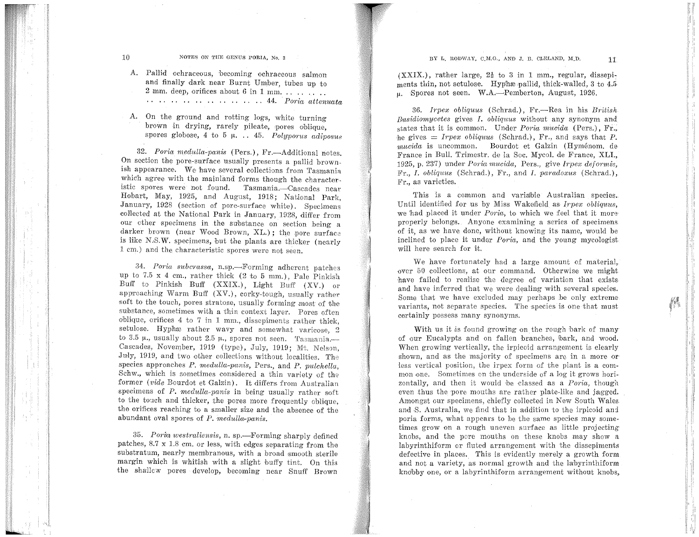10 **NOTES ON THE GENUS PORIA. No. 3** 

A. Pallid ochraceous, becoming ochraceous salmon and finally dark near Burnt Umber, tubes up to 2 mm. deep, ·orifices about 6 in 1 mm. . . . . . . . . . . . . . . . . . . . . . . 44. *PoTia attenuata* 

A. On the ground and rotting logs, white turning· brown in drying, rarely pileate, pores oblique, spores globose, 4 to 5  $\mu$ . . 45. *Polyporus adinosus* 

32. Poria medulla-panis (Pers.), Fr.-Additional notes. On section the pore-surface usually presents a pallid brownish appearance. We have several collections from Tasmania which agree with the mainland forms though the characteristic spores were not found. Tasmania.-Cascades near Hobart, May, 1925, and August, 1918; National Park, January, 1928 (section of pore-surface white). Specimens collected at the National Park in January, 1928, differ from our other specimens in the substance on section being a darker brown (near Wood Brown, XL.); the pore surface is like N.S.W. specimens, but the plants are thicker (nearly 1 em.) and the characteristic spores were not seen.

34. *Poria subcrassa,* n.sp.--<Forming adherent patches up to 7.5 x 4 em., rather thick (2 to 5 mm.), Pale Pinkish Buff to Pinkish Buff (XXIX.), Light Buff (XV.) or approaching Warm Buff  $(XV)$ , corky-tough, usually rather soft to the touch, pores stratose, usually forming most of the substance, sometimes with a thin context layer. Pores often oblique, orifices 4 to 7 in 1 mm., disscpiments rather thick, setulose. Hyphæ rather wavy and somewhat varicose, 2 to 3.5  $\mu$ ., usually about 2.5  $\mu$ ., spores not seen. Tasmania.--Cascades, November, 1919 (type), July, 1919; Mt. Nelson, July, 1919, and two other collections without localities. The species approaches *P. medulla-panis*, Pers., and *P. pulchella*, Schw., which is sometimes considered a thin variety of the former *(vide* Bourdot et Galzin). It differs from Australian specimens of *P. medulla-panis* in being usually rather soft to the touch and thicker, the pores more frequently oblique, the orifices reaching to a smaller size and the absence of the abundant oval spores of *P. medulla-panis.* 

35. Poria westraliensis, n. sp.—Forming sharply defined patches,  $8.7 \times 1.8$  cm. or less, with edges separating from the substratum, nearly membranous, with a broad smooth sterile margin which is whitish with a slight buffy tint. On this the shallcw pores develop, becoming near Snuff Brown

 $(XXIX.)$ , rather large,  $2\frac{1}{2}$  to 3 in 1 mm., regular, dissepiments thin, not setulose. Hyphæ pallid, thick-walled, 3 to 4.5  $\mu$ . Spores not seen. W.A.-Pemberton, August, 1926.

36. *lrpex obliquus* (Schrad.), Fr.-Rea in his *British Basidiomycetes* gives *I. obliquus* without any synonym and states that it is common. Under *Poria mucida* (Pers.), Fr., he gives  $=$  *Irpex obliquus* (Schrad.), Fr., and says that *P*. *rnucida* is uncommon. Bourdot et Galzin (Hyménom. de France in Bull. Trimestr. de Ia Soc. Mycol. de France, XLI., 1925, p. 237) under *P01·ia rnucida,* Pers., give *lrpex deforrnis,*  Fr., *I. obliquus* (Schrad.), Fr., and *I. paradoxus* ( Schrad.), Fr., as varieties.

This is a common and variable Australian species. Until identified for us by Miss Wakefield as *Irpex obliquus*. we had placed it under *Poria*, to which we feel that it more properly belongs. Anyone examining a series of specimens of it, as we have done, without knowing its name, would be inclined to place it under *Poria*, and the young mycologist will here search for it.

We have fortunately had a large amount of material, over 50 collections, at our command. Otherwise we might have failed to realise the degree of variation that exists and have inferred that we were dealing with several species. Some that we have excluded may perhaps be only extreme variants, not separate species. The species is one that must certainly possess many synonyms.

With us it is found growing on the rough bark of many of our Eucalypts and on fallen branches, bark, and wood. When growing vertically, the irpicoid arrangement is clearly shown, and as the majority of specimens are in a more or -less vertical position, the irpex form of the plant is a common one. Sometimes on the underside of a log it grows horizontally, and then it would be classed as a *Poria*, though even thus the pore mouths are rather plate-like and jagged. Amongst our specimens, chiefly collected in New South Wales and S. Australia, we find that in addition to the irpicoid and poria forms, what appears to be the same species may sometimes grow on a rough uneven surface as little projecting knobs, and the pore mouths on these knobs may show a labyrinthiform or fluted arrangement with the dissepiments defective in places. This is evidently merely a growth form and not a variety, as normal growth and the labyrinthiform knobby one, or a labyrinthiform arrangement without knobs,

 $\sim 40$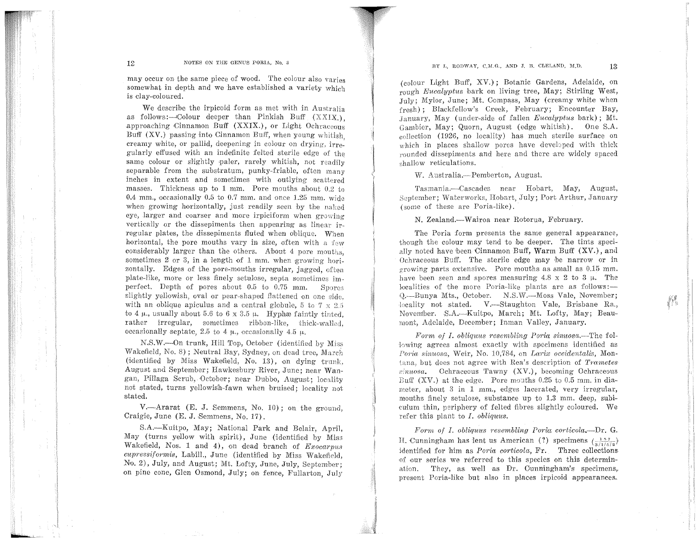### BY  $I_L$  RODWAY, C,M.G., AND J. B. CLELAND, M.D.  $13$

may occur on the same piece of wood. The colour also varies somewhat in depth and we have established a variety which is clay-coloured.

We describe the irpicoid form as met with in Australia as follows: $\rightarrow$ Colour deeper than Pinkish Buff (XXIX.), approaching Cinnamon Buff (XXIX.), or Light Ochraceous Buff (XV.) passing into Cinnamon Buff, when young whitish creamy white, or pallid, deepening in colour on drying, irregularly effused with an indefinite felted sterile edge of the same colour or slightly paler, rarely whitish, not readily separable from the substratum, punky-friable, often many inches in extent and sometimes with outlying scattered masses. Thickness up to 1 mm. Pore mouths about  $0.2$  to 0.4 mm., occasionally 0.5 to 0.7 mm. and once 1.25 mm. wide when growing horizontally, just readily seen by the naked eye, larger and coarser and more irpiciform when growing vertically or the dissepiments then appearing as linear irregular plates, the dissepiments fluted when oblique. When horizontal, the pore mouths vary in size, often with a  $f_{ew}$ considerably larger than the others. About 4 pore mouths, sometimes 2 or 3, in a length of 1 mm, when growing horizontally. Edges of the pore-mouths irregular, jagged, often plate-like, more or less finely setulose, sepla sometimes imperfect. Depth of pores about 0.5 to 0.75 mm. Spores slightly yellowish, oval or pear-shaped flattened on one side. with an oblique apiculus and a central globule, 5 to  $7 \times 2.5$ to 4  $\mu$ , usually about 5.6 to 6 x 3.5  $\mu$ . Hyphæ faintly tinted, rather irregular, sometimes ribbon-like, thiek-walbd, occasionally septate, 2.5 to 4  $\mu$ ., occasionally 4.5  $\mu$ .

N.S.W.-On trunk, Hill Top, October (identified by Miss Wakefield, No. 8); Neutral Bay, Sydney, on dead tree, March (identified by Miss Wakefield, No. 13), on dying trunk, August and September; Hawkesbury River, June; near Wangan, Pillaga Scrub, October; near Dubbo, August; locality not stated, turns yellowish-fawn when bruised; locality not stated.

V.-Ararat (E. J. Semmens, No. 10); on the ground, Craigie, June (E. J. Semmens, No. 17).

S.A.-Kuitpo, May; National Park and Belair, April, May (turns yellow with spirit), June (identified by Miss Wakefield, Nos. 1 and 4), on dead 'branch of *Exocarpus cupressiformis*, Labill., June (identified by Miss Wakefield, No. 2), July, and August; Mt. Lofty, June, July, September; on pine cone, Glen Osmond, July; on fence, Fullarton, July

(colour Light Buff, XV.); Botanic Gardens, Adelaide, on rough *Eucalyptus* bark on living tree, May; StirLing West,  $J_{\text{ulv}}$ ; Mylor, June; Mt. Compass, May (creamy white when  ${\rm fresh}$ ) : Blackfellow's Creek, February; Encounter Bay, .January, May (under-side of fallen *E"ucalyptus* bark); Mt. Gambier, May; Quorn, August (edge whitish). One S.A.  $\alpha$ -collection (1926, no locality) has much sterile surface on which in places shallow pores have developed with thick rounded dissepiments and here and there are widely spaced shallow reticulations.

W. Australia.-Pemberton, August.

Tasmania.---Cascades near Hobart, May, August, September: Waterworks, Hobart, July; Port Arthur, January (some of these are Poria-like).

N. Zealand.--Wairoa near Rotorua, February.

The Poria form presents the same general appearance, though the colour may tend to be deeper. The tints specially noted have been Cinnamon Buff, Warm Buff (XV.), and Ochraceous Buff. The sterile edge may be narrow or in growing parts extensive. Pore mouths as small as  $0.15$  mm. have been seen and spores measuring  $4.8 \times 2$  to  $3 \mu$ . The localities of the more Poria-like plants are as  $\text{follows}:$ Q.--Bunya Mts., October. N.S.W.--Moss Vale, November; locality not stated. V—Staughton Vale, Brisbane Ra., November. S.A.---Kuitpo, March; Mt. Lofty, May; Beaumont, Adelaide, December; Inman Valley, January.

yf.

*Form of I. obliquus resembling Poria sinuosa.*—The following agrees almost exactly with specimens identified as *Poria sinuosa, Weir, No. 10,784, on Larix occidentalis, Mon*tana, but does not agree with Rea's description of *Trametes*  $\sin u \circ a$ . Ochraceous Tawny (XV.), becoming Ochraceous Buff (XV.) at the edge. Pore mouths 0.25 to 0.5 mm. in diameter, about  $3$  in  $1$  mm., edges lacerated, very irregular, mouths finely setulose, substance up to 1.3 mm. deep, subiculum thin, periphery of felted fibres slightly coloured. We refer this plant to *I. obliquus*.

*Form of I. obliquus resembling Poria corticola.*--Dr. G. H. Cunningham has lent us American (?) specimens  $\left(\frac{157}{3/1/5/2}\right)$ identified for him as *Poria corticola*, Fr. Three collections of our series we referred to this species on this determination. They, as well as Dr. Cunningham's specimens, present Poria-like but also in places irpicoid appearances.

de ga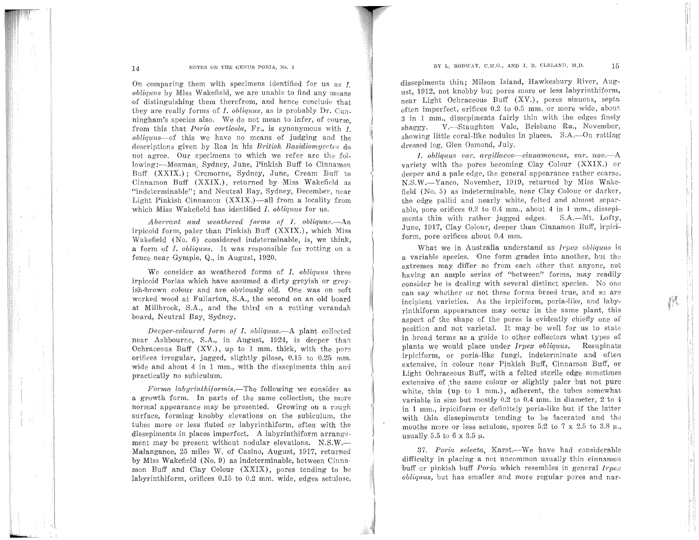### BY L. RODWAY, C,M.G., AND J. B. CLELAND, M.D.  $15$

# 14 **NOTES ON THE GENUS PORIA, No. 3**

On comparing them with specimens identified for us as *1*. *obliquus* by Miss Wakefield, we are unable to find any means of distinguishing them therefrom, and hence conclude that they are really forms of *I. obliquus*, as is probably Dr. Cunningham's species also. We do not mean to infer, of course from this that *Poria corticola*, Fr., is synonymous with *I*. *obliquus-of* this we have no means of judging and the descriptions given by Rea in his *British Basidiomycetes* do not agree. Our specimens to which we refer are the following:----Mosman, Sydney, June, Pinkish Buff to Cinnamon Buff (XXIX.); Cremorne, Sydney, June, Cream Buff to Cinnamon Buff  $(XXIX.)$ , returned by Miss Wakefield as "indeterminable"; and Neutral Bay, Sydney, December, near Light Pinkish Cinnamon  $(XXIX.)$ —all from a locality from which Miss Wakefield has identified *I. obliquus* for us.

*Aberrant and weathered forms of I. obliquus.*—An irpicoid form, paler than Pinkish Buff (XXIX.), which Miss Wakefield  $(N_0, 6)$  considered indeterminable, is, we think, a form of *I*. *obliquus*. It was responsible for rotting on a fence near Gympie, Q., in August, 1920.

We consider as weathered forms of *I. obliquus* three irpicoid Porias which have assumed a dirty greyish or greyish-brown colour and are obviously old. One was on soft worked wood at Fullarton, S.A., the second on an old board at Millbrook, RA., and the third on a rotting verandah board, Neutral Bay, Sydney.

*Deeper-coloured form of I. obliquus.*--A plant collected near Ashbourne, S.A., in August, 1924, is deeper than Ochraceous Buff  $(XV)$ , up to 1 mm. thick, with the pore orifices irregular, jagged, slightly pilose,  $0.15$  to  $0.25$  mm. wide and about  $4$  in  $1$  mm., with the dissepiments thin and practicaiJly no su'biculum.

*Forrna labyrinthiforrnis.-The* following we consider as a growth form. In parts of the same collection, the more normal appearance may he presented. Growing on a rough surface, forming knobby elevations on the subiculum, the tubes more or less fluted or labyrinthiform, often with the dissepiments in places imperfect. A labyrinthiform arrangement may be present without nodular elevations. N.S.W.-Malanganee, 25 miles W. of Casino, August, 1917, returned by Miss Wakefield (No. 9) as indeterminable, between Cinnamon Buff and Clay Colour  $(XXIX)$ , pores tending to be labyrinthiform, orifices  $0.15$  to  $0.2$  mm. wide, edges setulose, dissepiments thin; Milson Island, Hawkesbury River, August, 1912, not knobby but pores more or less labyrinthiform, near Light Ochraceous Buff (XV.), pores sinuous, septa often imperfect, orifices 0.2 to 0.5 mm. or more wide, about; 3 in 1 mm., dissepiments fairly thin with the edges finely shaggy. V. Staughton Vale, Brisbane Ra., November, showing little coral-like nodules in places. S.A.--On rotting dressed log, Glen Osmond, July.

*I. obliquus var. argillaceo--cinnamoneus, var. nov.*--A variety with the pores becoming Olay Colour (XXIX.) or deeper and a pale edge, the general appearance rather coarse. N,S.W.--Yanco, November, 1919, returned by Miss Wakefield  $(No. 5)$  as indeterminable, near Clay Colour or darker, the edge pallid and nearly white, felted and almost separable, pore orifices  $0.2$  to  $0.4$  mm., about  $4$  in  $1$  mm., dissepiments thin with rather jagged edges. S.A.-Mt. Lofty, June, 1917, Clay Colour, deeper than Cinnamon Buff, irpiciform, pore orifices about 0.4 mm.

What we in Australia understand as *Irpex obliquus* is a variable species. One form grades into another, but the extremes may differ so from each other that anyone, not having an ample series of "between" forms, may readily consider he is dealing with several distinct species. No one can say whether or not these forms breed true, and so are incipient varieties. As the irpiciform, poria-like, and labyrinthiform appearances may occur in the same plant, this aspect of the shape of the pores is evidently chiefly one of position and not varietal. It may be well for us to state in broad terms as a guide to other collectors what types of plants we would place under *Irpex obliquus.* Resupinate irpiciform, or poria-like fungi, indeterminate and often extensive, in colour near Pinkish Buff, Cinnamon Buff, or Light Ochraceous Buff, with a felted sterile edge sometimes extensive of the same colour or slightly paler but not pure white, thin (up to 1 mm.), adherent, the tubes somewhat variable in size but mostly 0.2 to 0.4 mm, in diameter, 2 to 4 in 1 mm., irpiciform or definitely poria-like but if the latter with thin dissepiments tending to be lacerated and the mouths more or less setulose, spores 5.2 to 7 x 2.5 to 3.8  $\mu$ . usually 5.5 to 6  $\times$  3.5  $\mu$ .

37. Poria selecta, Karst.--We have had considerable difficulty in placing a not uncommon usually thin cinnamon buff or pinkish buff *Poria* which resembles in general *Irpe*, *obliquus, but has smaller and more regular pores and nar-*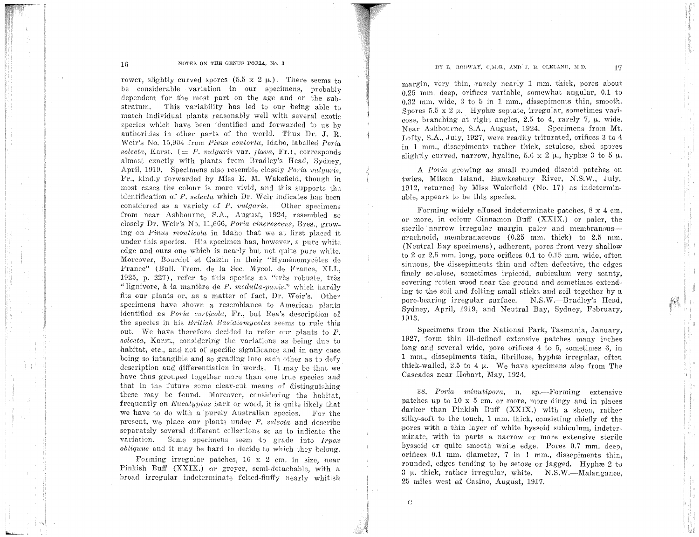#### 16 **NOTES ON THE GENUS PORIA, No. 3**

rower, slightly curved spores  $(5.5 \times 2 \mu)$ . There seems to be considerable variation in our specimens, probably dependent for the most part on the age and on the substratum. This variability has led to our being able to match individual plants reasonably well with several exotic species which have been identified and forwarded to us by authorities in other parts of the world. Thus Dr. J. R. Weir's No. 15,904 from *Pinus contorta*, Idaho, labelled *Poria*  $selecta$ , Karst.  $(= P. *vulgaris* var. *flava*, Fr.), corresponds$ almost exactly with plants from Bradley's Head, Sydney, April, 1919. Specimens also resemble closely *Poria vulgaris*, Fr., kindly forwarded by Miss E. M. Wakefield, though in most cases the colour is more vivid, and this supports the identification of *P. selecta* which Dr. Weir indicates has been considered as a variety of *P. vulgaris*. Other specimens from near Ashbourne, S.A., August, 1924, resembled so closely Dr. Weir's No. 11,666, *Poria cinerescens,* Bres., growing on *Pinus monticola* in Idaho that we at first placed it under this species. His specimen has, however, a pure white edge and ours one which is nearly but not quite pure white. Moreover, Bourdot et Galzin in their "Hyménomycètes de France" (Bull. Trem. de la Sec. Mycol. de France, XLI., 1925, p.  $227$ ), refer to this species as "très robuste, très "lignivore, à la manière de *P. medulla-panis.*" which hardly fits our plants or, as a matter of fact, Dr. Weir's. Other specimens have shown a resemblance to American plants identified as *Poria corticola*, Fr., but Rea's description of the species in his *British Bas{diomycetcs* seems to rule this out. We have therefore decided to refer our plants to *P*. selecta, Karst., considering the variations as being due to habitat, etc., and not of specific significance and in any case being so intangible and so grading into each other as to defy description and differentiation in words. It may be that we have thus grouped together more than one true species and that in the future some clear-cut means of distinguishing these may be found. Moreover, considering the habitat, frequently on *Eucalyptus* bark or wood, it is quite likely that we have to do with a purely Australian species. For the present, we place our plants under *P. selecta* and describe separately several different collections so as to indicate the variation. Some specimens seem to grade into *Irpex*  $obliquus$  and it may be hard to decide to which they belong.

Forming irregular patches,  $10 \times 2$  cm, in size, near Pinkish Buff (XXIX.) or greyer, semi-detachable, with a broad irregular indeterminate felted-fluffy nearly whitish

### **HY L, RODWAY, C.M.G., AND J. B. CLELAND, M.D. 17**

margin, very thin, rarely nearly 1 mm. thick, pores about 0.25 mm. deep, orifices variable, somewhat angular, 0.1 to 0.32 mm. wide, 3 to G in l mm., dissepiments thin, smooth. Spores 5.5 x 2  $\mu$ . Hyphæ septate, irregular, sometimes varicose, branching at right angles, 2.5 to 4, rarely 7,  $\mu$ . wide. Near Ashbourne, S.A., August, 1924. Specimens from Mt. Lofty, S.A., July, 1927, were readily triturated, orifices 3 to 4 in 1 mm., dissepiments rather thick, setulose, shed spores slightly curved, narrow, hyaline,  $5.6 \times 2 \mu$ , hyphæ 3 to 5  $\mu$ .

A Poria growing as small rounded discoid patches on twigs, Milson Island, Hawkesbury River, N.S.W., July, 1912, returned by Miss Wakefield (No. 17) as indeterminable, appears to be this species.

Forming widely effused indeterminate patches,  $8 \times 4$  cm. or more, in colour Cinnamon Buff (XXIX.) or paler, the sterile narrow irregular margin paler and membranousarachnoid, membranaceous (0.25 mm. thick) to 2.5 mm. (Neutral Bay specimens), adherent, pores from very shallow to 2 or 2.5 mm. long, pore orifices  $0.1$  to  $0.15$  mm, wide, often sinuous, the dissepiments thin and often defective, the edges finely setulose, sometimes irpicoid, subiculum very scanty, covering rotten wood near the ground and sometimes extending to the soil and felting small sticks and soil together by a pore-bearing irregular surface. N.S.W.-Bradley's Head, Sydney, April, 1919, and Neutral Bay, Sydney, February, 1913.

Specimens from the National Park, Tasmania, January, 1927, form thin ill-defined extensive patches many inches long and several wide, pore orifices 4 to 5, sometimes 6, in 1 mm., dissepiments thin, fibrillose, hyphæ irregular, often thick-walled, 2.5 to 4  $\mu$ . We have specimens also from The Cascades near Hobart, May, 1924.

38. Poria minutipora, n. sp.-Forming extensive patches up to  $10 \times 5$  cm. or more, more dingy and in places darker than Pinkish Buff (XXIX.) with a sheen, rather silky-soft to the touch, 1 mm. thick, consisting chiefly of the pores with a thin layer of white byssoid subiculum, indeterminate, with in parts a narrow or more extensive sterile byssoid or quite smooth white edge. Pores 0.7 mm, deen, orifices 0.1 mm. diameter, 7 in 1 mm., dissepiments thin, rounded, edges tending to be setose or jagged. Hyphæ 2 to  $3 \mu$ . thick, rather irregular, white. N.S.W.--Malanganee, 25 miles west QX Casino, August, 1917.

 $\chi \rightarrow$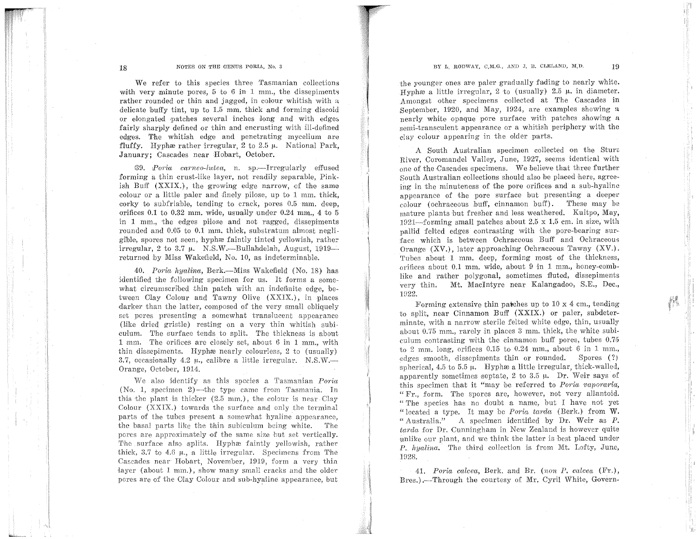# **BY L. RODWAY, C,M.G., AND J. B. CLELAND, M,D.**  $19$

:I

羅

# 18 **NOTES ON THE GENUS PORIA, No. 3**

We refer to this species three Tasmanian collections with very minute pores,  $5 \text{ to } 6$  in 1 mm., the dissepiments rather rounded or thin and jagged, in colour whitish with a delicate buffy tint, up to 1.5 mm. thick and forming discoid or elongated patches several inches long and with edges fairly sharply defined or thin and encrusting with ill-defined edges. The whitish edge and penetrating mycelium are fluffy. Hyphærather irregular, 2 to 2.5  $\mu$ . National Park, January; Cascades near Hobart, October.

39. *Poria carneo-lutea*, n. sp.—Irregularly effused forming a thin crust-like layer, not readily separable, Pinkish Buff  $(XXIX)$ , the growing edge narrow, of the same colour or a little paler and finely pilose, up to  $1 \text{ mm}$ , thick, corky to subfriable, tending to crack, pores 0.5 mm. deep, orifices  $0.1$  to  $0.32$  mm, wide, usually under  $0.24$  mm, 4 to 5 in 1 mm., the edges pilose and not ragged, dissepiments rounded and 0.05 to 0.1 mm. thick, substratum almost negligible, spores not seen, hyphæ faintly tinted yellowish, rather irregular,  $2$  to  $3.7$   $\mu$ . N.S.W.---Bullahdelah, August,  $1919$ returned by Miss Wakefield, No. 10, as indeterminable.

40. *Poria hyalina*, Berk.—Miss Wakefield (No. 18) has identified the following specimen for us. It forms a somewhat circumscribed thin patch with an indefinite edge, between Olay Colour and Tawny Olive (XXIX.), in places darker than the latter, composed of the very small obliquely set pores presenting a somewhat translucent appearance (Like dried gristle) resting on a very thin whitish subiculum. The surface tends to split. The thickness is about 1 mm. The orifices are closely set, about 6 in 1 mm, with thin dissepiments. Hyphæ nearly colourless,  $2$  to (usually) 3.7, occasionally 4.2  $\mu$ , calibre a little irregular. N.S.W.--Orange, October, 1914.

We also identify as this species a Tasmanian *Poria*  $(No, 1, \text{ specimen } 2)$ --the type came from Tasmania. In this the plant is thicker  $(2.5 \text{ mm.})$ , the colour is near Clay Colour  $(XXIX.)$  towards the surface and only the terminal parts of the tubes present a somewhat hyaline appearance, the basal parts like the thin subiculum being white. The pores are approximately of the same size but set vertically. The surface also splits. Hyphæ faintly yellowish, rather thick, 3.7 to 4.G *1t.,* a little irregular. Specimens from The Cascades near Hobart, November, 1919, form a very thin •layer (about l mm.), show many small cracks and the older pores are of the Clay Colour and sub-hyaline appearance, but

the younger ones ate paler gradually fading to nearly white. Hyphæ a little irregular, 2 to (usually) 2.5  $\mu$ , in diameter. Amongst other specimens collected at The Cascades in .September, 1920, and May, 1924, are examples showing a nearly white opaque pore surface with patches showing a semi-transculent appearance or a whitish periphery with the day colour appearing in the older parts.

A South Australian specimen collected on the Sture River, Coromandel Valley, June, 1927, seems identical with one of the Cascades specimens. We believe that three further South Australian collections should also be placed here, agreeing in the minuteness of the pore orifices and a sub-hyaline appearance of the pore surface but presenting a deeper colour (ochraceous buff, cinnamon buff). These may be mature plants hut fresher and less weathered. Kuitpo, May, 1921-forming small patches about  $2.5 \times 1.5$  cm. in size, with pallid felted edges contrasting with the pore-bearing surface which is between Ochraceous Buff and Ochraceous Orange (XV.), later approaching Ochraceous Tawny (XV.). Tubes about 1 mm. deep, forming most of the thickness, orifices about 0.1 mm. wide, about 9 in 1 mm., honey-comblike and rather polygonal, sometimes fluted, dissepiments very thin. Mt. Macintyre near Kalangadoo, S.E., Dec., 1922.

Forming extensive thin patches up to  $10 \times 4$  cm, tending *bo* split, near Cinnamon Buff (XXIX.) or paler, subdeterminate, with a narrow sterile felted white edge, thin, usually about 0.75 mm., rarely in places 3 mm. thick, the white subiculum contrasting with the cinnamon buff pores, tubes 0.75 *to* 2 mm. long, orifices 0.15 to 0.24 mm., about G in 1 mm., edges smooth, dissepiments thin or rounded. Spores (?) spherical, 4.5 to 5.5  $\mu$ . Hyphæ a little irregular, thick-walled, apparently sometimes septate, 2 to 3.5  $\mu$ . Dr. Weir says of this specimen that it "may be referred to *Poria vaporaria*, "Fr., form. The spores are, however, not very allantoid. " The species has no doubt a name, but I have not yet "located a type. It may be *Porin tnr-da* (Berk.) from W. "Australia." A specimen identified by Dr. Weir as  $P$ . tarda for Dr. Cunningham in New Zealand is however quite unlike our plant, and we think the latter is best placed under *P. hyalina.* The third collection is from Mt. Lofty, June, 1928.

41. *Poria calcea*, Berk. and Br. (non P. calcea (Fr.), Bres.) .- Through the courtesy of Mr. Cyril White, Govern-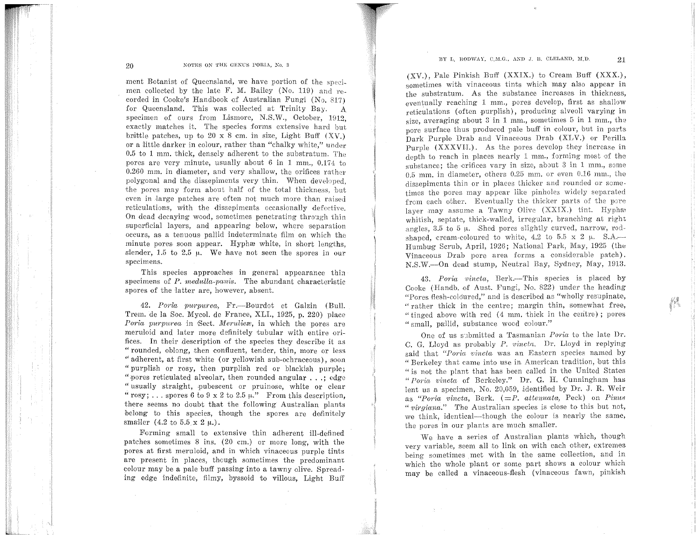# BY L, RODWAY, C,M.G., AND J. B. CLELAND, M.D.  $21$

#### NOTES ON THE GENUS PORIA, No. 3

ment Botanist of Queensland, we have portion of the specimen collected by the late F. M. Bailey (No. 119) and recorded in Cooke's Handbook of Australian Fungi (No. 817) for Queensland. This was oolleeted at Trinity Bay. A specimen of ours from Lismore, N.S.W., October, 1912. exactly matches it. The species forms extensive hard but brittle patches, up to 20 x 8 cm. in size, Light Buff  $(XV)$ . or a little darker in colour, rather than "chalky white," under 0.5 to l mm. thick, densely adherent to the substratum. The pores are very minute, usually about 6 in 1 mm., 0.174 to 0.260 mm. in diameter, and very shallow, the orifices rather polygonal and the dissepiments very thin. When developed, the pores may form about half of the total thickness, but even in large patches are often not much more than raised reticulations, with the dissepiments occasionally defective. On dead decaying wood, sometimes penetrating through thin superficial layers, and appearing below, where separation occurs, as a tenuous pallid indeterminate film on which the minute pores soon appear. Hyphæ white, in short lengths, slender, 1.5 to 2.5  $\mu$ . We have not seen the spores in our specimens.

This species approaches in general appearance thin specimens of *P. medulla-panis*. The abundant characteristic spores of the latter are, however, absent.

42. Poria purpurea, Fr.-Bourdot et Galzin (Bull. Trem. de la Soc. Mycol. de France, XLI., 1925, p. 220) place *Poria purpurea* in Sect. *Meruliex*, in which the pores are meruloid and later more definitely tubular with entire orifices. In their description of the species they describe it as "rounded, oblong, then confluent, tender, thin, more or less " adherent, at first white (or yellowish sub-ochraceous), soon " purplish or rosy, then purplish red or blackish purple; "pores reticulated alveolar, then rounded angular . . .; edge "usually straight, pubescent or pruinose, white or clear "rosy; ... spores 6 to 9 x 2 to 2.5  $\mu$ ." From this description, there seems no doubt that the following Australian plants belong to this species, though the spores are defmitely smaller  $(4.2 \text{ to } 5.5 \times 2 \mu)$ .

Forming small to extensive thin adherent ill-defined patches sometimes 8 ins. (20 em.) or more long, with the pores at first meruloid, and in which vinaceous purple tints are present in places, though sometimes the predominant colour may be a pale buff passing into a tawny olive. Spreading edge indefinite, filmy, byssoid to villous, Light Buff

(XV.), Pale Pinkish Buff (XXIX.) to Cream Buff (XXX.), sometimes with vinaceous tints which may also appear in the substratum. As the substance increases in thickness, eventually reaching 1 mm., pores develop, first as shallow reticulations (often purplish), producing alveoli varying in size, averaging about  $3$  in 1 mm., sometimes  $5$  in 1 mm., the pore surface thus produced pale buff in colour, but in parts Dark Purple Drab and Vinaceous Drab (XLV.) or Perilla Purple (XXXVII.). As the pores develop they increase in depth to reach in places nearly 1 mm., forming most of the substance; the orifices vary in size, about  $3$  in  $1$  mm., some 0.5 mm. in diameter, others 0.25 mm. or even 0.16 mm., the dissepiments thin or in places thicker and rounded or sometimes the pores may appear like pinholes widely separated from each other. Eventually the thicker parts of the pore layer may assume a Tawny Olive (XXIX.) tint. Hypha' whitish, septate, thick-walled, irregular, branching at right angles, 3.5 to 5  $\mu$ . Shed pores slightly curved, narrow, rodshaped, cream-coloured to white, 4.2 to 5.5 x 2  $\mu$ . S.A.--Humbug Scrub, April, 1926; National Park, May, 1925 (the Vinaceous Drab pore area forms a considerable patch). N.S.W.-On dead stump, Neutral Bay, Sydney, May, 1913.

43. *Poria vincta*, Berk.--This species is placed by Cooke (Handb. of Aust. Fungi, No. 822) under the heading "Pores flesh-coloured," and is described as "wholly resupinate, " rather thick in the centre; margin thin, somewhat free, "tinged above with red  $(4 \text{ mm}, \text{thick} \text{ in the centre})$ ; pores " small, pallid, substance wood colour."

One of us submitted a Tasmanian *Poria* to the late Dr. C. G. Lloyd as probably *P. vi.nctn.* Dr. Lloyd in replying said that "Poria vincta was an Eastern species named by " Berkeley that came into use in American tradition, but this "is not the plant that has been called in the United States *"Porin vinctn* of Berkeley." Dr. G. H. Cunningham ha8 lent us a specimen, No. 20,059, identified by Dr. J. R. Weir as "Poria vincta, Berk. (=P. attenuata, Peck) on Pinus *"virginnn."* The Australian species is dose to this but not, we think, identical—though the colour is nearly the same, the pores in our plants are much smaller.

*·we* have a series of Australian plants which, though very variable, seem all to link on with each other, extremes being sometimes met with in the same collection, and in which the whole plant or some part shows a colour which may be called a vinaceous-flesh (vinaceous fawn, pinkish

20